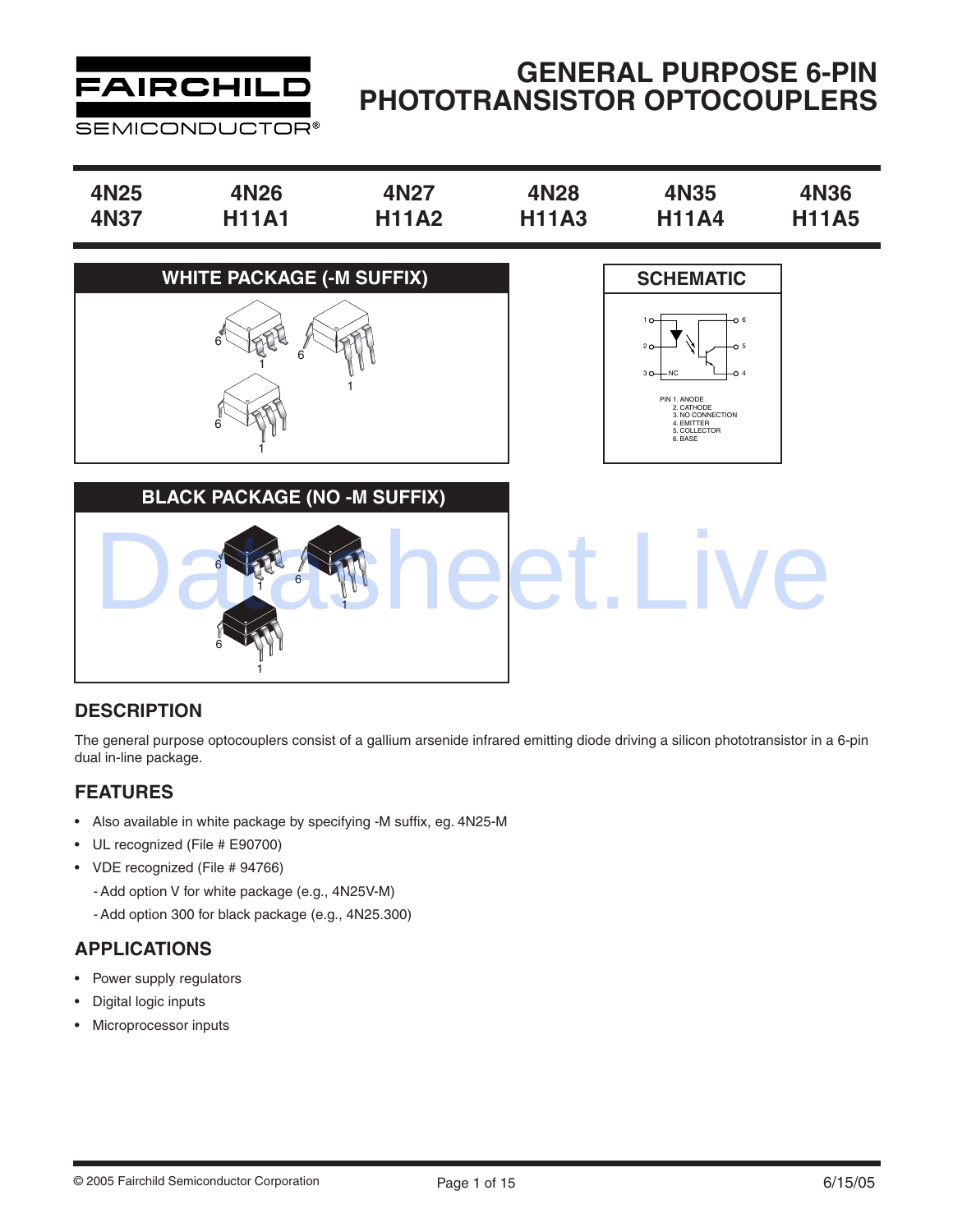

# **GENERAL PURPOSE 6-PIN PHOTOTRANSISTOR OPTOCOUPLERS**

| 4N25 | 4N26         | 4N27         | 4N28         | 4N35         | <b>4N36</b>  |
|------|--------------|--------------|--------------|--------------|--------------|
| 4N37 | <b>H11A1</b> | <b>H11A2</b> | <b>H11A3</b> | <b>H11A4</b> | <b>H11A5</b> |





**BLACK PACKAGE (NO -M SUFFIX)** 6 1 6 1 6 1 et.Live

### **DESCRIPTION**

The general purpose optocouplers consist of a gallium arsenide infrared emitting diode driving a silicon phototransistor in a 6-pin dual in-line package.

### **FEATURES**

- Also available in white package by specifying -M suffix, eg. 4N25-M
- UL recognized (File # E90700)
- VDE recognized (File # 94766)
	- Add option V for white package (e.g., 4N25V-M)
	- Add option 300 for black package (e.g., 4N25.300)

### **APPLICATIONS**

- Power supply regulators
- Digital logic inputs
- Microprocessor inputs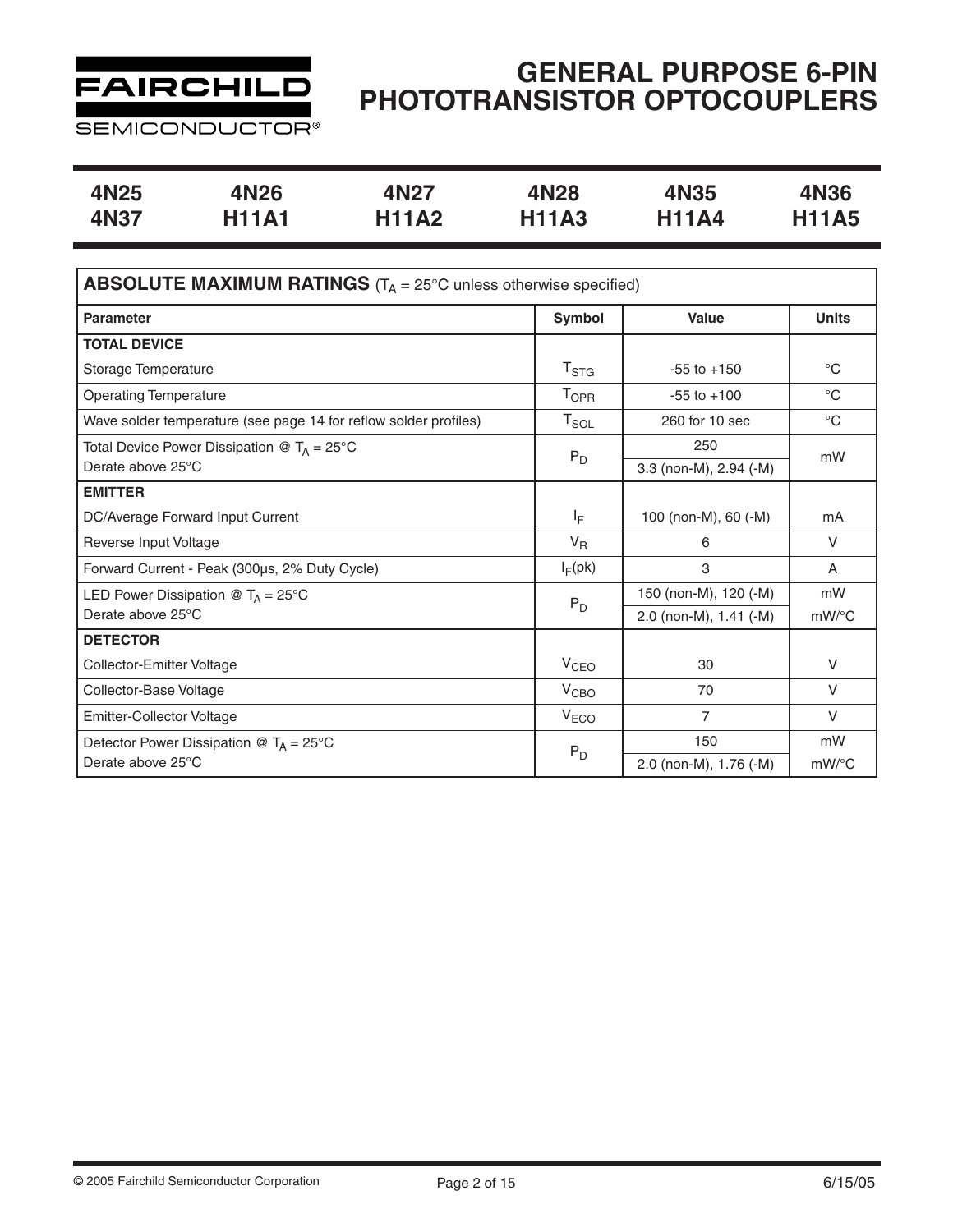

**SEMICONDUCTOR®** 

| 4N25 | 4N26         | 4N27         | 4N28         | 4N35         | 4N36         |
|------|--------------|--------------|--------------|--------------|--------------|
| 4N37 | <b>H11A1</b> | <b>H11A2</b> | <b>H11A3</b> | <b>H11A4</b> | <b>H11A5</b> |

| <b>ABSOLUTE MAXIMUM RATINGS</b> ( $T_A = 25^{\circ}$ C unless otherwise specified) |                  |                        |              |  |  |  |
|------------------------------------------------------------------------------------|------------------|------------------------|--------------|--|--|--|
| <b>Parameter</b>                                                                   | Symbol           | Value                  | <b>Units</b> |  |  |  |
| <b>TOTAL DEVICE</b>                                                                |                  |                        |              |  |  |  |
| Storage Temperature                                                                | T <sub>STG</sub> | $-55$ to $+150$        | $^{\circ}C$  |  |  |  |
| <b>Operating Temperature</b>                                                       | T <sub>OPR</sub> | $-55$ to $+100$        | $^{\circ}C$  |  |  |  |
| Wave solder temperature (see page 14 for reflow solder profiles)                   | $T_{SOL}$        | 260 for 10 sec         | $^{\circ}C$  |  |  |  |
| Total Device Power Dissipation @ $T_A = 25^{\circ}C$                               | $P_D$            | 250                    | mW           |  |  |  |
| Derate above 25°C                                                                  |                  | 3.3 (non-M), 2.94 (-M) |              |  |  |  |
| <b>EMITTER</b>                                                                     |                  |                        |              |  |  |  |
| DC/Average Forward Input Current                                                   | ΙF               | 100 (non-M), 60 (-M)   | mA           |  |  |  |
| Reverse Input Voltage                                                              | $V_{R}$          | 6                      | $\vee$       |  |  |  |
| Forward Current - Peak (300µs, 2% Duty Cycle)                                      | $I_F$ (pk)       | 3                      | A            |  |  |  |
| LED Power Dissipation @ $T_A = 25^{\circ}C$                                        | $P_D$            | 150 (non-M), 120 (-M)  | mW           |  |  |  |
| Derate above 25°C                                                                  |                  | 2.0 (non-M), 1.41 (-M) | $mW$ /°C     |  |  |  |
| <b>DETECTOR</b>                                                                    |                  |                        |              |  |  |  |
| Collector-Emitter Voltage                                                          | V <sub>CEO</sub> | 30                     | $\vee$       |  |  |  |
| Collector-Base Voltage                                                             | V <sub>CBO</sub> | 70                     | $\vee$       |  |  |  |
| <b>Emitter-Collector Voltage</b>                                                   | V <sub>ECO</sub> | $\overline{7}$         | $\vee$       |  |  |  |
| Detector Power Dissipation $\mathcal{O} T_A = 25^{\circ}C$                         | $P_D$            | 150                    | mW           |  |  |  |
| Derate above 25°C                                                                  |                  | 2.0 (non-M), 1.76 (-M) | mW/°C        |  |  |  |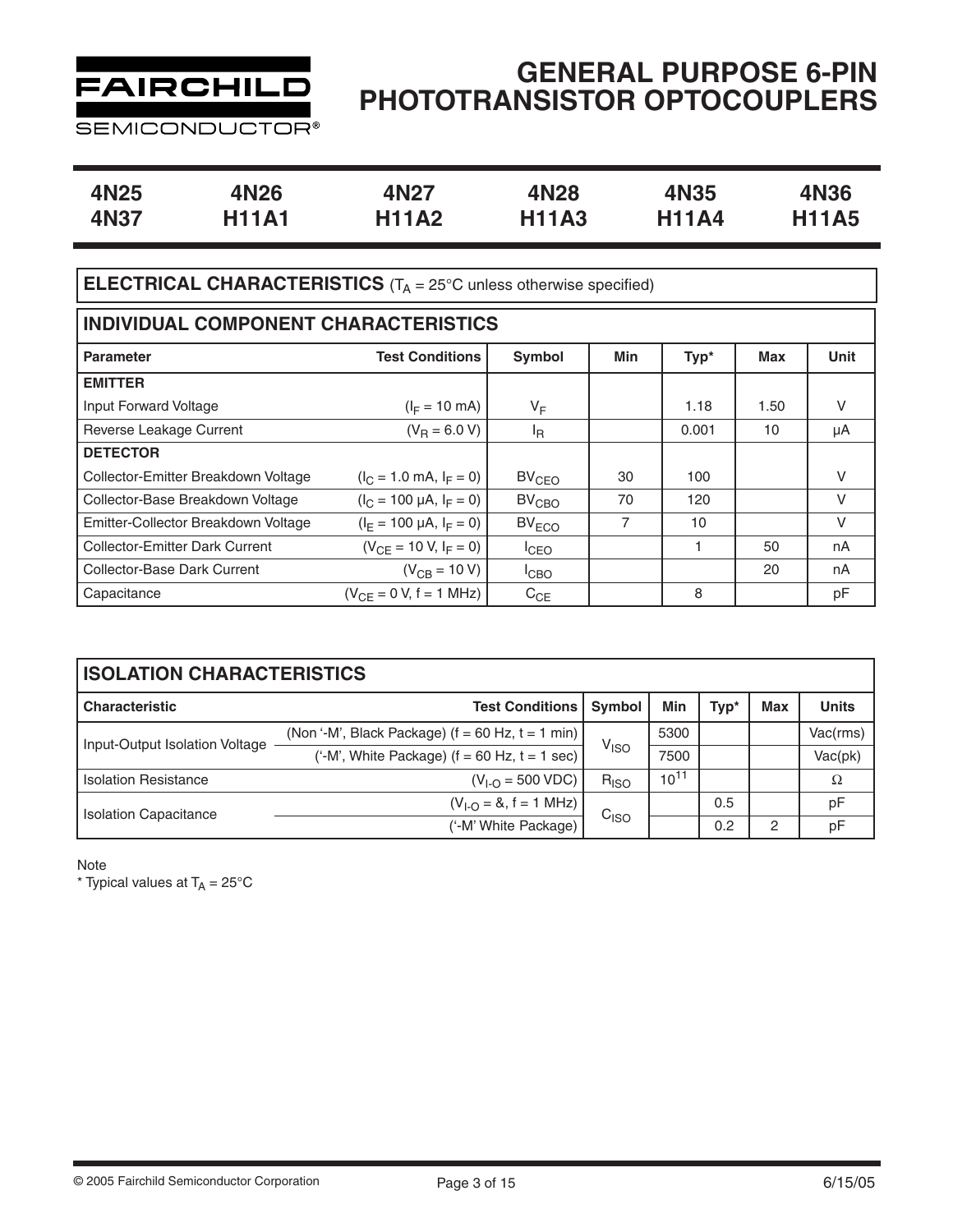

**SEMICONDUCTOR®** 

| 4N <sub>25</sub> | 4N26         | 4N27         | 4N28         | 4N35         | 4N36         |
|------------------|--------------|--------------|--------------|--------------|--------------|
| 4N37             | <b>H11A1</b> | <b>H11A2</b> | <b>H11A3</b> | <b>H11A4</b> | <b>H11A5</b> |

## **ELECTRICAL CHARACTERISTICS** (T<sub>A</sub> = 25°C unless otherwise specified)

| INDIVIDUAL COMPONENT CHARACTERISTICS  |                                   |                   |     |       |      |             |  |  |  |
|---------------------------------------|-----------------------------------|-------------------|-----|-------|------|-------------|--|--|--|
| <b>Parameter</b>                      | <b>Test Conditions</b>            | Symbol            | Min | Typ*  | Max  | <b>Unit</b> |  |  |  |
| <b>EMITTER</b>                        |                                   |                   |     |       |      |             |  |  |  |
| Input Forward Voltage                 | $(I_F = 10 \text{ mA})$           | $V_F$             |     | 1.18  | 1.50 | V           |  |  |  |
| Reverse Leakage Current               | $(V_B = 6.0 V)$                   | <sup>I</sup> R    |     | 0.001 | 10   | μA          |  |  |  |
| <b>DETECTOR</b>                       |                                   |                   |     |       |      |             |  |  |  |
| Collector-Emitter Breakdown Voltage   | $(I_C = 1.0 \text{ mA}, I_F = 0)$ | $BV_{CEO}$        | 30  | 100   |      | V           |  |  |  |
| Collector-Base Breakdown Voltage      | $(I_C = 100 \mu A, I_F = 0)$      | $BV_{\text{CBO}}$ | 70  | 120   |      | $\vee$      |  |  |  |
| Emitter-Collector Breakdown Voltage   | $(I_F = 100 \mu A, I_F = 0)$      | $BV_{ECO}$        | 7   | 10    |      | V           |  |  |  |
| <b>Collector-Emitter Dark Current</b> | $(V_{CF} = 10 V, I_F = 0)$        | ICEO              |     |       | 50   | nA          |  |  |  |
| Collector-Base Dark Current           | $(V_{CB} = 10 V)$                 | <sup>I</sup> CBO  |     |       | 20   | nA          |  |  |  |
| Capacitance                           | $(V_{CE} = 0 V, f = 1 MHz)$       | $C_{CE}$          |     | 8     |      | pF          |  |  |  |

| <b>ISOLATION CHARACTERISTICS</b> |                                                      |                  |           |      |     |              |  |  |  |  |
|----------------------------------|------------------------------------------------------|------------------|-----------|------|-----|--------------|--|--|--|--|
| <b>Characteristic</b>            | <b>Test Conditions  </b>                             | <b>Symbol</b>    | Min       | Typ* | Max | <b>Units</b> |  |  |  |  |
| Input-Output Isolation Voltage   | (Non '-M', Black Package) $(f = 60$ Hz, $t = 1$ min) |                  | 5300      |      |     | Vac(rms)     |  |  |  |  |
|                                  | ('-M', White Package) $(f = 60$ Hz, $t = 1$ sec)     | V <sub>ISO</sub> | 7500      |      |     | Vac(pk)      |  |  |  |  |
| <b>Isolation Resistance</b>      | $(V_{I-O} = 500 VDC)$                                | $R_{ISO}$        | $10^{11}$ |      |     | Ω            |  |  |  |  |
|                                  | $(V_{1-O} = 8, f = 1 MHz)$                           |                  |           | 0.5  |     | pF           |  |  |  |  |
| <b>Isolation Capacitance</b>     | ('-M' White Package)                                 | C <sub>ISO</sub> |           | 0.2  | 2   | рF           |  |  |  |  |

Note

\* Typical values at  $T_A = 25^{\circ}$ C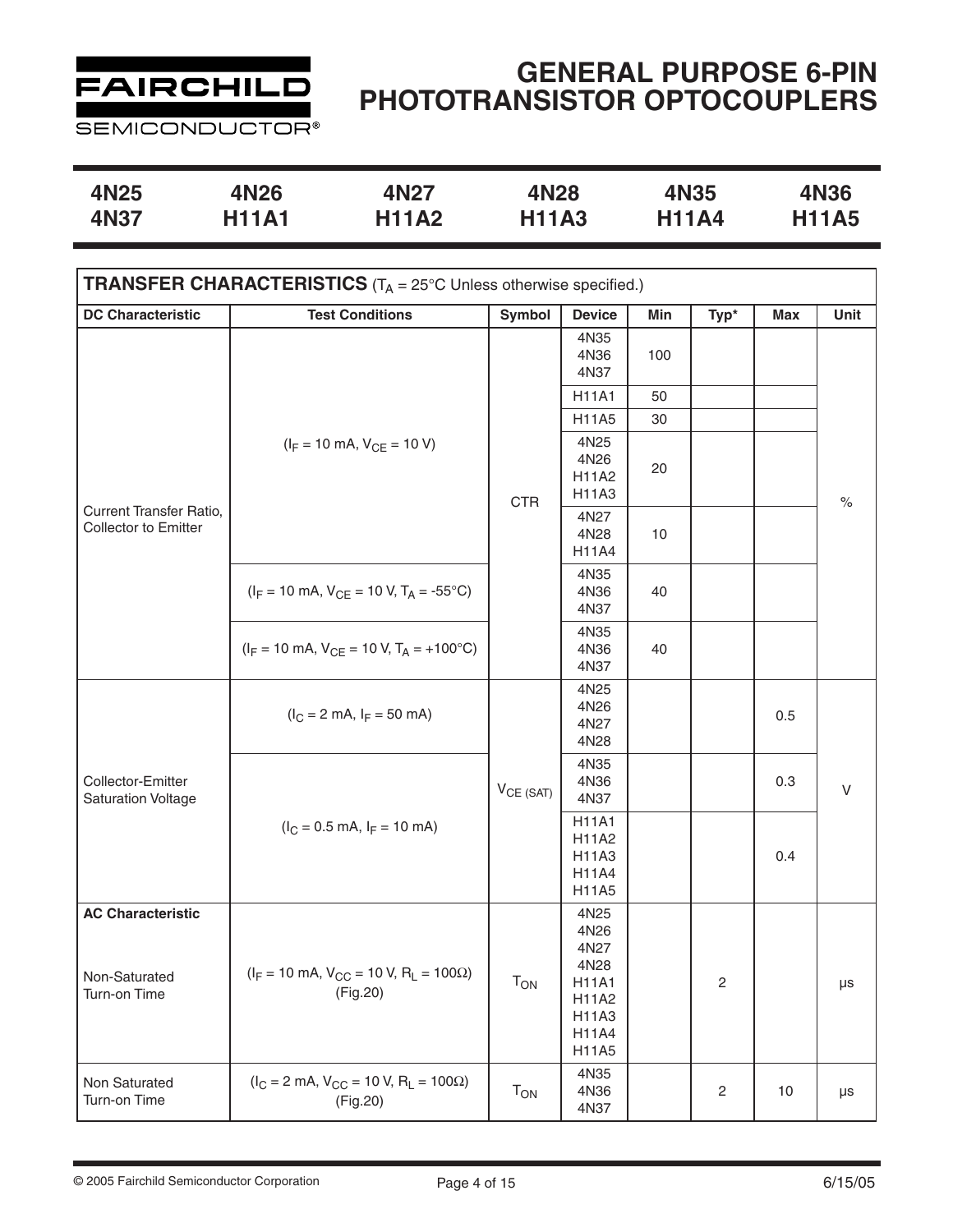

**SEMICONDUCTOR®** 

| 4N25 | 4N26         | 4N27         | 4N28         | 4N35         | 4N36         |
|------|--------------|--------------|--------------|--------------|--------------|
| 4N37 | <b>H11A1</b> | <b>H11A2</b> | <b>H11A3</b> | <b>H11A4</b> | <b>H11A5</b> |

| <b>TRANSFER CHARACTERISTICS</b> ( $T_A$ = 25°C Unless otherwise specified.) |                                                                              |                            |                                                                                  |     |                         |            |              |  |
|-----------------------------------------------------------------------------|------------------------------------------------------------------------------|----------------------------|----------------------------------------------------------------------------------|-----|-------------------------|------------|--------------|--|
| <b>DC Characteristic</b>                                                    | <b>Test Conditions</b>                                                       | Symbol                     | <b>Device</b>                                                                    | Min | Typ*                    | <b>Max</b> | Unit         |  |
|                                                                             |                                                                              |                            | 4N35<br>4N36<br>4N37                                                             | 100 |                         |            |              |  |
|                                                                             |                                                                              |                            | <b>H11A1</b>                                                                     | 50  |                         |            |              |  |
|                                                                             |                                                                              |                            | H11A5                                                                            | 30  |                         |            |              |  |
|                                                                             | $(I_F = 10 \text{ mA}, V_{CE} = 10 \text{ V})$                               | <b>CTR</b>                 | 4N25<br>4N26<br>H11A2<br>H11A3                                                   | 20  |                         |            | $\%$         |  |
| Current Transfer Ratio,<br>Collector to Emitter                             |                                                                              |                            | 4N27<br>4N28<br>H11A4                                                            | 10  |                         |            |              |  |
|                                                                             | $(I_F = 10 \text{ mA}, V_{CE} = 10 \text{ V}, T_A = -55^{\circ} \text{C})$   |                            | 4N35<br>4N36<br>4N37                                                             | 40  |                         |            |              |  |
|                                                                             | $(I_F = 10 \text{ mA}, V_{CE} = 10 \text{ V}, T_A = +100^{\circ}\text{C})$   |                            | 4N35<br>4N36<br>4N37                                                             | 40  |                         |            |              |  |
|                                                                             | $(l_C = 2 \text{ mA}, l_F = 50 \text{ mA})$                                  |                            | 4N25<br>4N26<br>4N27<br>4N28                                                     |     |                         | 0.5        |              |  |
| Collector-Emitter<br><b>Saturation Voltage</b>                              |                                                                              | $V_{CE (SAT)}$             | 4N35<br>4N36<br>4N37                                                             |     |                         | 0.3        | $\mathsf{V}$ |  |
|                                                                             | $(I_C = 0.5 \text{ mA}, I_F = 10 \text{ mA})$                                |                            | <b>H11A1</b><br>H11A2<br>H11A3<br>H11A4<br>H11A5                                 |     |                         | 0.4        |              |  |
| <b>AC Characteristic</b><br>Non-Saturated<br>Turn-on Time                   | $(I_F = 10 \text{ mA}, V_{CC} = 10 \text{ V}, R_L = 100 \Omega)$<br>(Fig.20) | $\mathsf{T}_{\mathsf{ON}}$ | 4N25<br>4N26<br>4N27<br>4N28<br><b>H11A1</b><br>H11A2<br>H11A3<br>H11A4<br>H11A5 |     | $\sqrt{2}$              |            | $\mu s$      |  |
| Non Saturated<br>Turn-on Time                                               | $(I_C = 2 \text{ mA}, V_{CC} = 10 \text{ V}, R_L = 100 \Omega)$<br>(Fig.20)  | $T_{ON}$                   | 4N35<br>4N36<br>4N37                                                             |     | $\overline{\mathbf{c}}$ | 10         | $\mu s$      |  |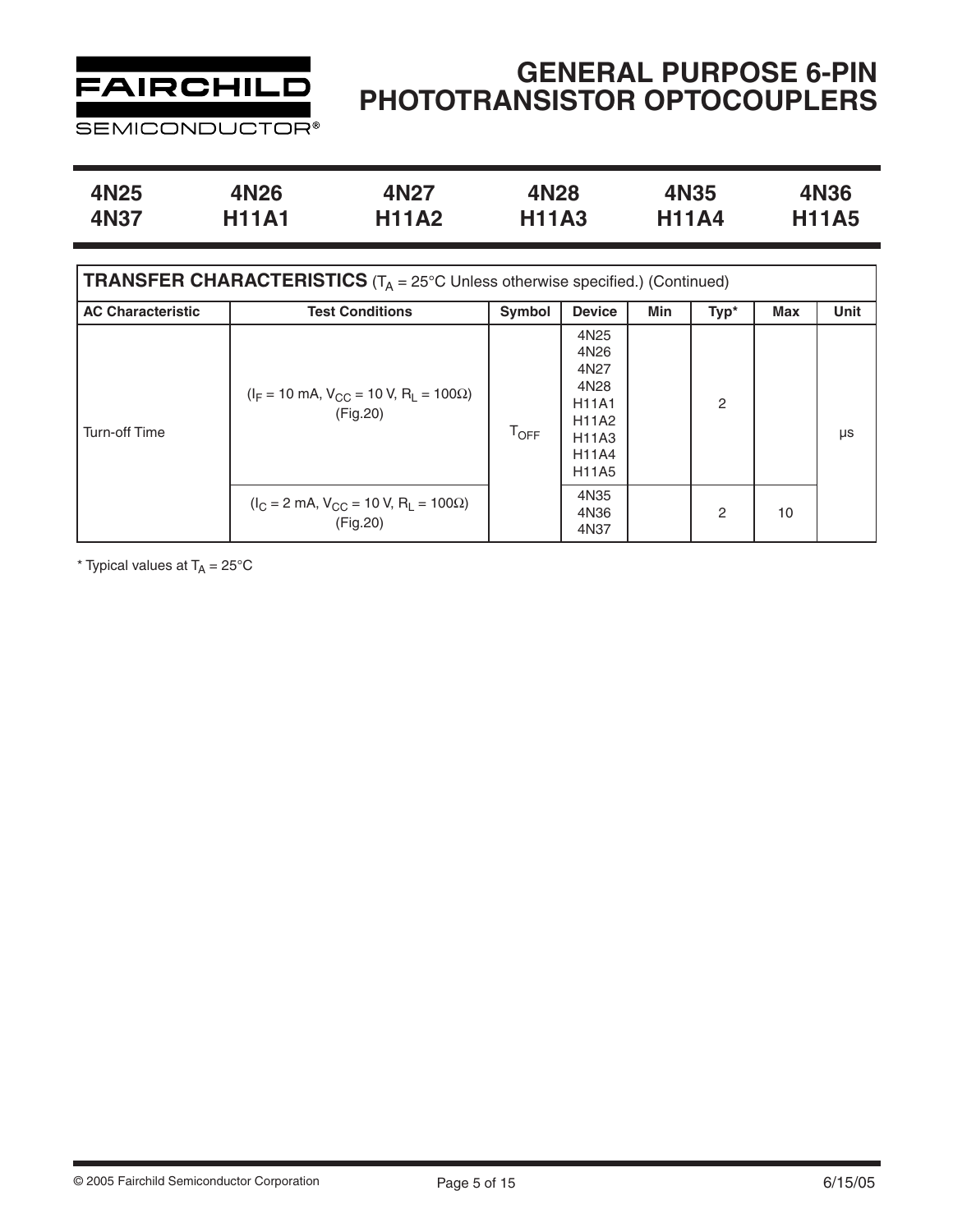

**SEMICONDUCTOR®** 

| 4N25 | 4N26         | 4N27         | 4N28         | 4N35         | <b>4N36</b>  |
|------|--------------|--------------|--------------|--------------|--------------|
| 4N37 | <b>H11A1</b> | <b>H11A2</b> | <b>H11A3</b> | <b>H11A4</b> | <b>H11A5</b> |

| <b>TRANSFER CHARACTERISTICS</b> ( $T_A = 25^\circ$ C Unless otherwise specified.) (Continued) |                                                                              |               |                                                                                                                   |     |                |     |             |  |  |
|-----------------------------------------------------------------------------------------------|------------------------------------------------------------------------------|---------------|-------------------------------------------------------------------------------------------------------------------|-----|----------------|-----|-------------|--|--|
| <b>AC Characteristic</b>                                                                      | <b>Test Conditions</b>                                                       | <b>Symbol</b> | <b>Device</b>                                                                                                     | Min | Typ*           | Max | <b>Unit</b> |  |  |
| <b>Turn-off Time</b>                                                                          | $(I_F = 10 \text{ mA}, V_{CC} = 10 \text{ V}, R_L = 100 \Omega)$<br>(Fig.20) | $T_{OFF}$     | 4N <sub>25</sub><br>4N26<br>4N27<br>4N28<br><b>H11A1</b><br><b>H11A2</b><br>H11A3<br><b>H11A4</b><br><b>H11A5</b> |     | $\overline{2}$ |     | μs          |  |  |
|                                                                                               | $(I_C = 2 \text{ mA}, V_{CC} = 10 \text{ V}, R_L = 100 \Omega)$<br>(Fig.20)  |               | 4N35<br>4N36<br>4N37                                                                                              |     | $\mathcal{P}$  | 10  |             |  |  |

\* Typical values at  $T_A = 25^{\circ}$ C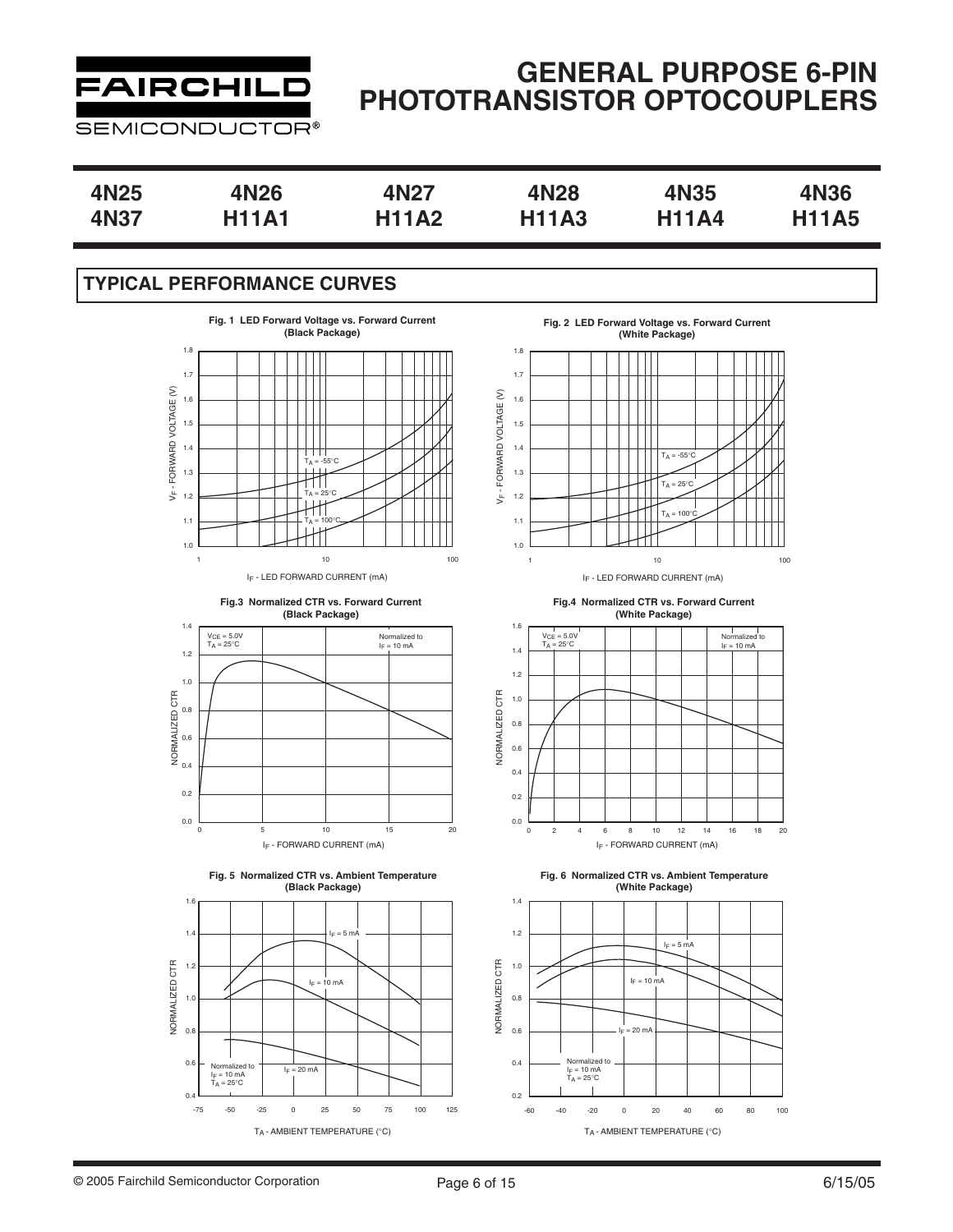

# **GENERAL PURPOSE 6-PIN PHOTOTRANSISTOR OPTOCOUPLERS**

| 4N25 | 4N26         | 4N27         | 4N28         | <b>4N35</b>  | 4N36         |
|------|--------------|--------------|--------------|--------------|--------------|
| 4N37 | <b>H11A1</b> | <b>H11A2</b> | <b>H11A3</b> | <b>H11A4</b> | <b>H11A5</b> |

### **TYPICAL PERFORMANCE CURVES**











**Fig. 2 LED Forward Voltage vs. Forward Current (White Package)**



IF - LED FORWARD CURRENT (mA)

**Fig.4 Normalized CTR vs. Forward Current (White Package)**



**Fig. 6 Normalized CTR vs. Ambient Temperature (White Package)**

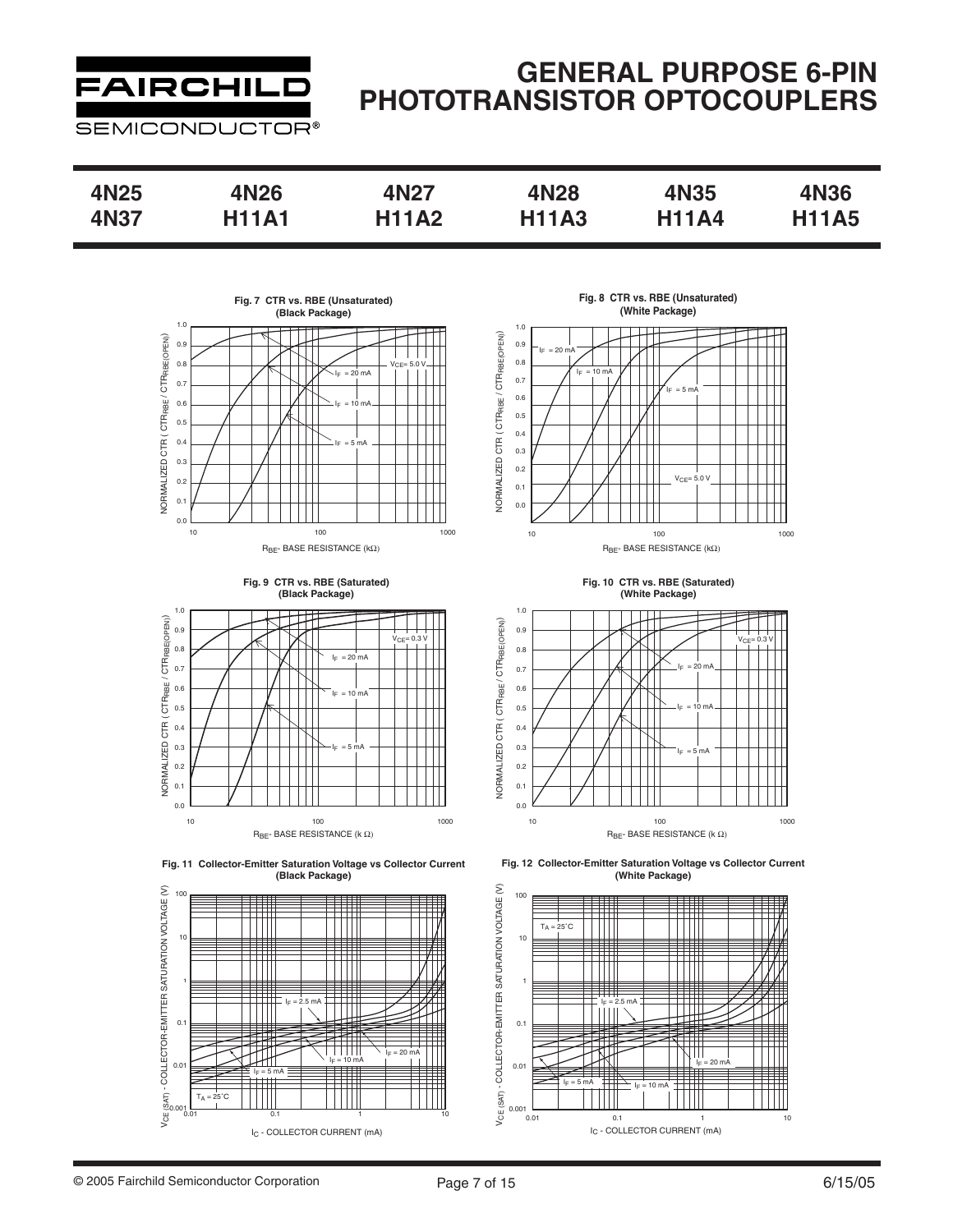

| 4N25 | 4N26         | 4N27         | 4N28         | 4N35         | <b>4N36</b>  |
|------|--------------|--------------|--------------|--------------|--------------|
| 4N37 | <b>H11A1</b> | <b>H11A2</b> | <b>H11A3</b> | <b>H11A4</b> | <b>H11A5</b> |







**Fig. 11 Collector-Emitter Saturation Voltage vs Collector Current (Black Package)**



**Fig. 8 CTR vs. RBE (Unsaturated) (White Package)**



**Fig. 10 CTR vs. RBE (Saturated) (White Package)**



**Fig. 12 Collector-Emitter Saturation Voltage vs Collector Current (White Package)**

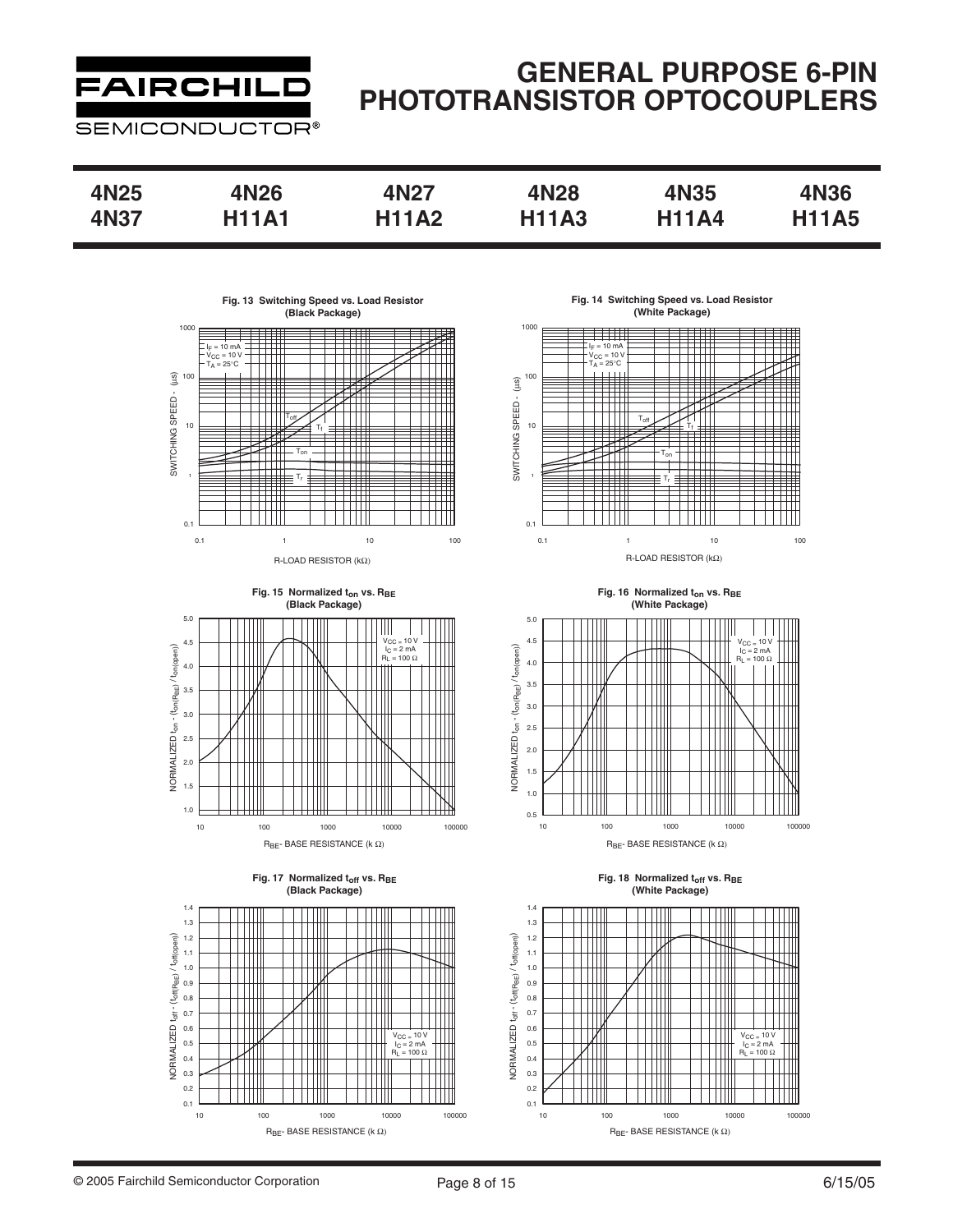# **FAIRCHILD**

**SEMICONDUCTOR®** 

| 4N25 | 4N26         | 4N27         | 4N28         | 4N35         | <b>4N36</b>  |
|------|--------------|--------------|--------------|--------------|--------------|
| 4N37 | <b>H11A1</b> | <b>H11A2</b> | <b>H11A3</b> | <b>H11A4</b> | <b>H11A5</b> |









**Fig. 14 Switching Speed vs. Load Resistor (White Package)**



Fig. 16 Normalized t<sub>on</sub> vs. R<sub>BE</sub> **(White Package)**



Fig. 18 Normalized t<sub>off</sub> vs. R<sub>BE</sub> **(White Package)**

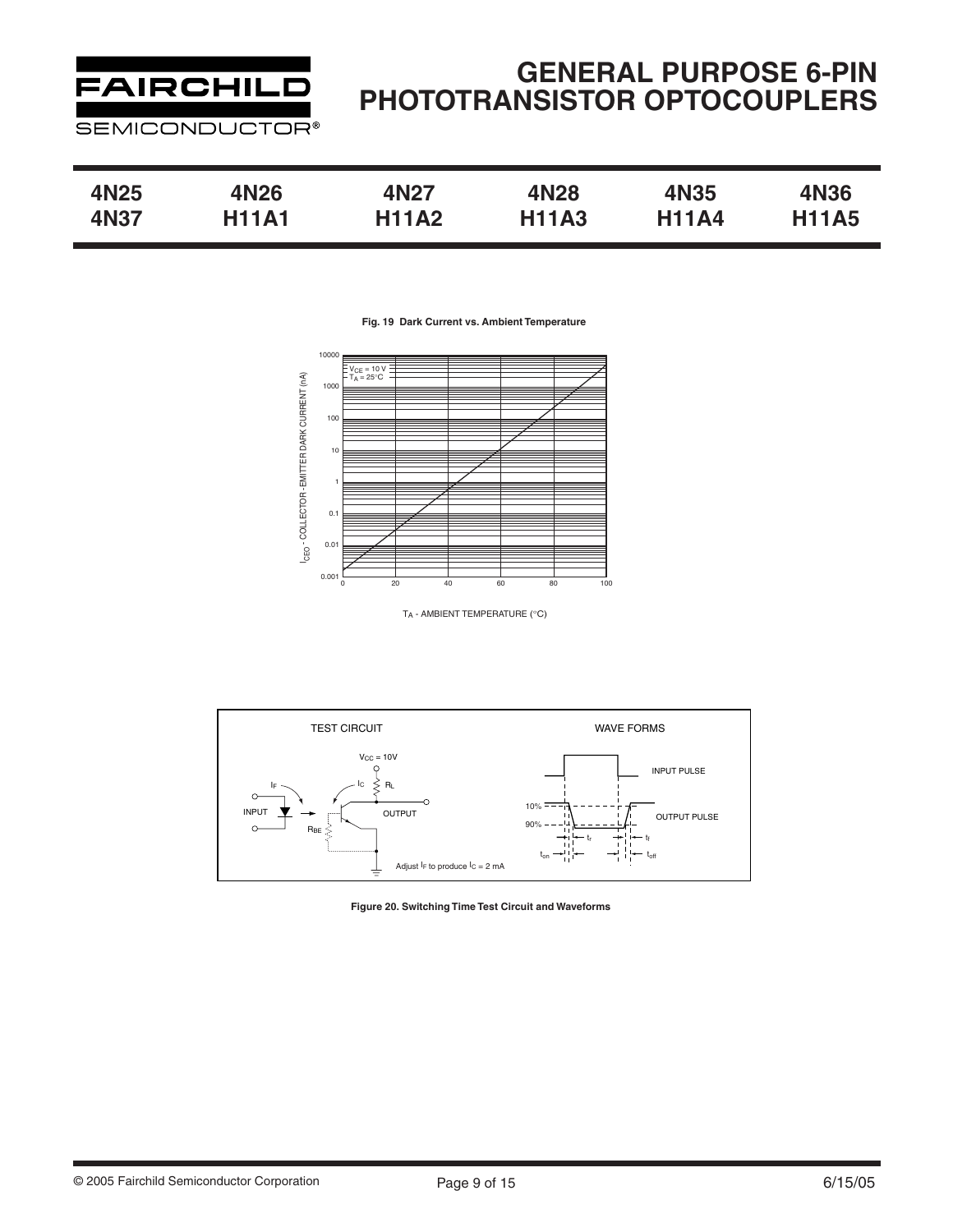

| 4N25 | 4N26         | 4N27         | 4N28         | 4N35         | <b>4N36</b>  |
|------|--------------|--------------|--------------|--------------|--------------|
| 4N37 | <b>H11A1</b> | <b>H11A2</b> | <b>H11A3</b> | <b>H11A4</b> | <b>H11A5</b> |

**Fig. 19 Dark Current vs. Ambient Temperature**



TA - AMBIENT TEMPERATURE (°C)



**Figure 20. Switching Time Test Circuit and Waveforms**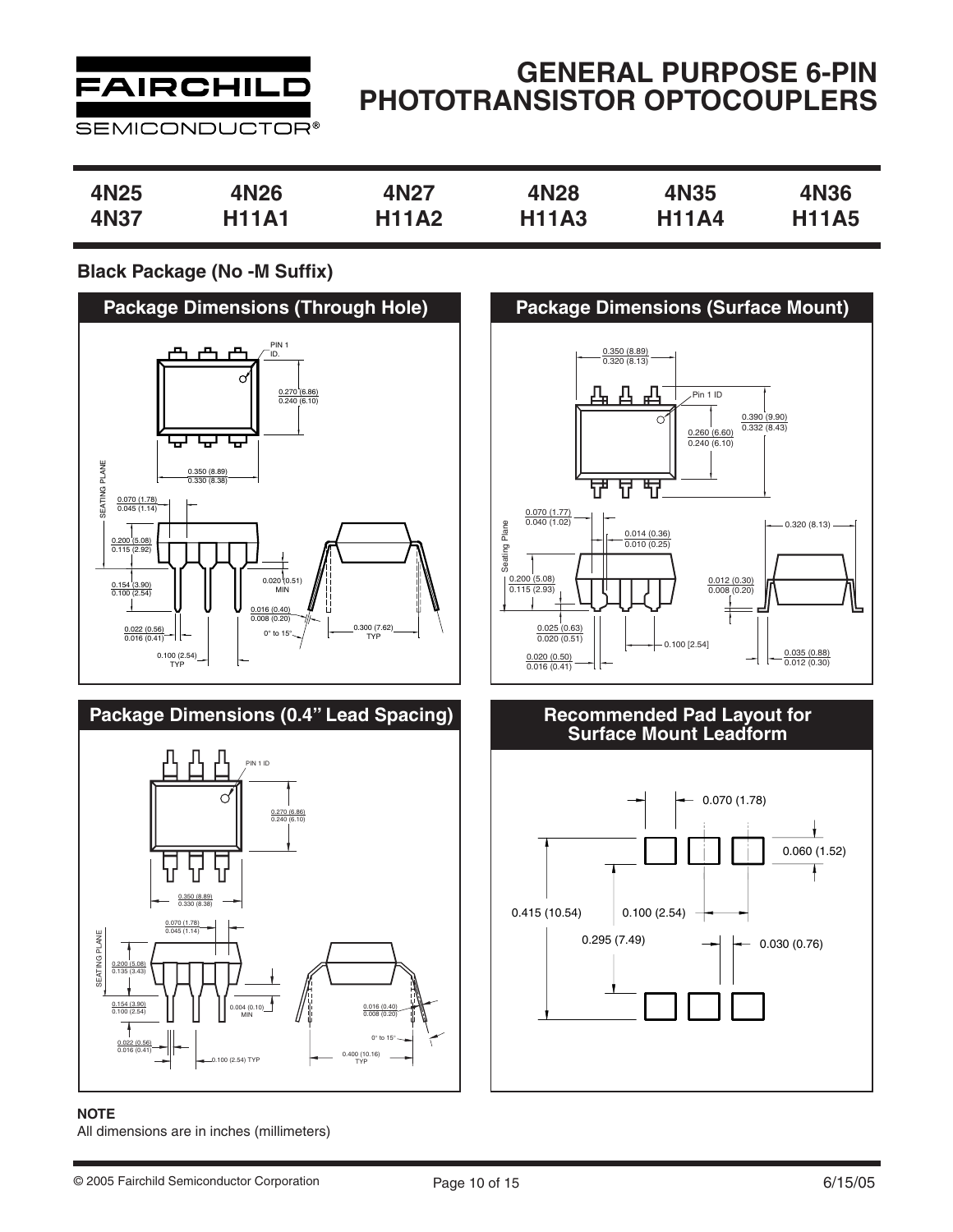

### **GENERAL PURPOSE 6-PIN PHOTOTRANSISTOR OPTOCOUPLERS**

| 4N25        | 4N26         | 4N27         | 4N28         | 4N35         | 4N36         |
|-------------|--------------|--------------|--------------|--------------|--------------|
| <b>4N37</b> | <b>H11A1</b> | <b>H11A2</b> | <b>H11A3</b> | <b>H11A4</b> | <b>H11A5</b> |

### **Black Package (No -M Suffix)**



#### **NOTE**

All dimensions are in inches (millimeters)



# **Recommended Pad Layout for<br>Surface Mount Leadform**

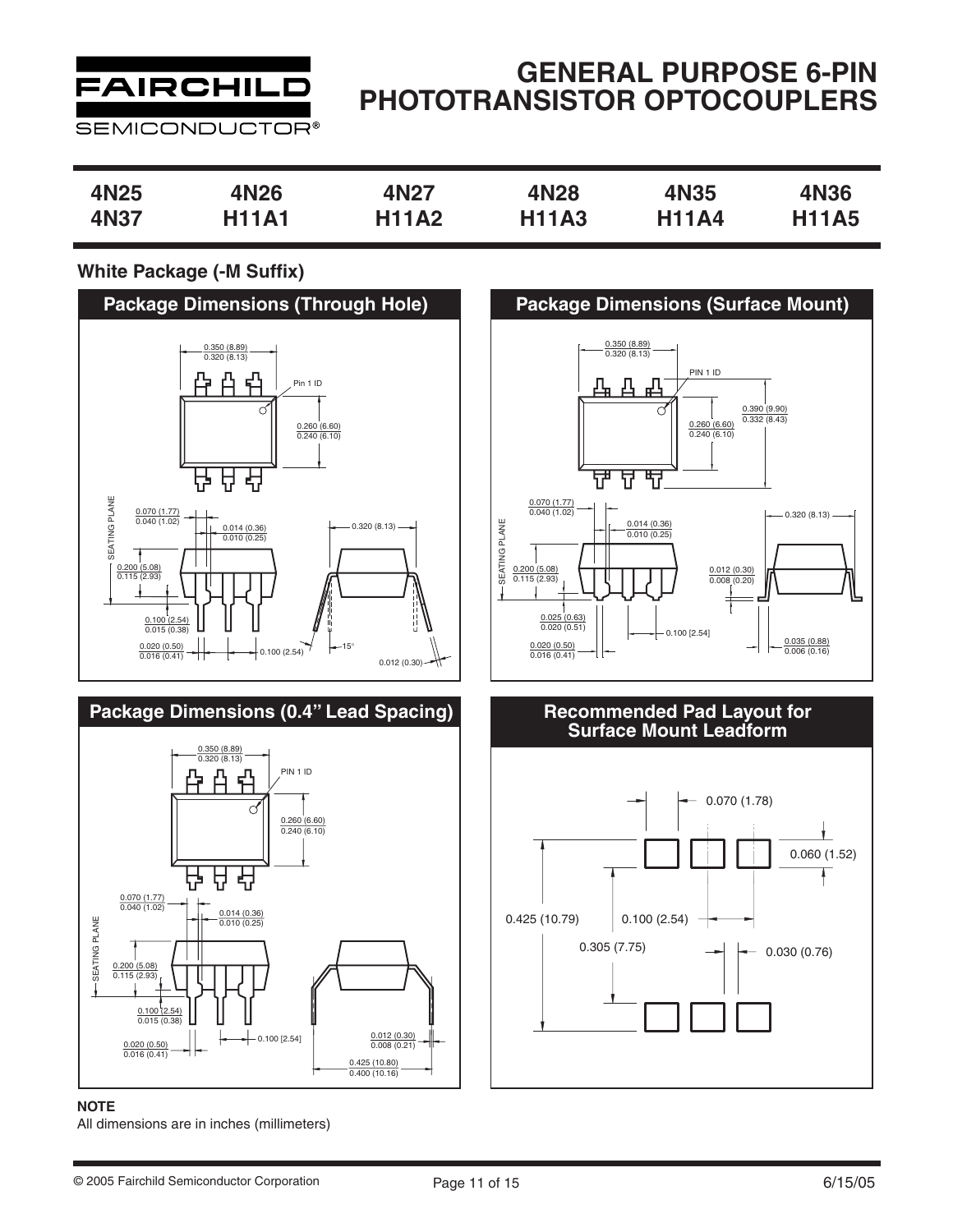

## **GENERAL PURPOSE 6-PIN PHOTOTRANSISTOR OPTOCOUPLERS**

| 4N25        | 4N26         | 4N27         | 4N28         | <b>4N35</b>  | 4N36         |
|-------------|--------------|--------------|--------------|--------------|--------------|
|             |              |              |              |              |              |
| <b>4N37</b> | <b>H11A1</b> | <b>H11A2</b> | <b>H11A3</b> | <b>H11A4</b> | <b>H11A5</b> |
|             |              |              |              |              |              |

### **White Package (-M Suffix)**



#### **NOTE**

All dimensions are in inches (millimeters)



# **Recommended Pad Layout for<br>Surface Mount Leadform**

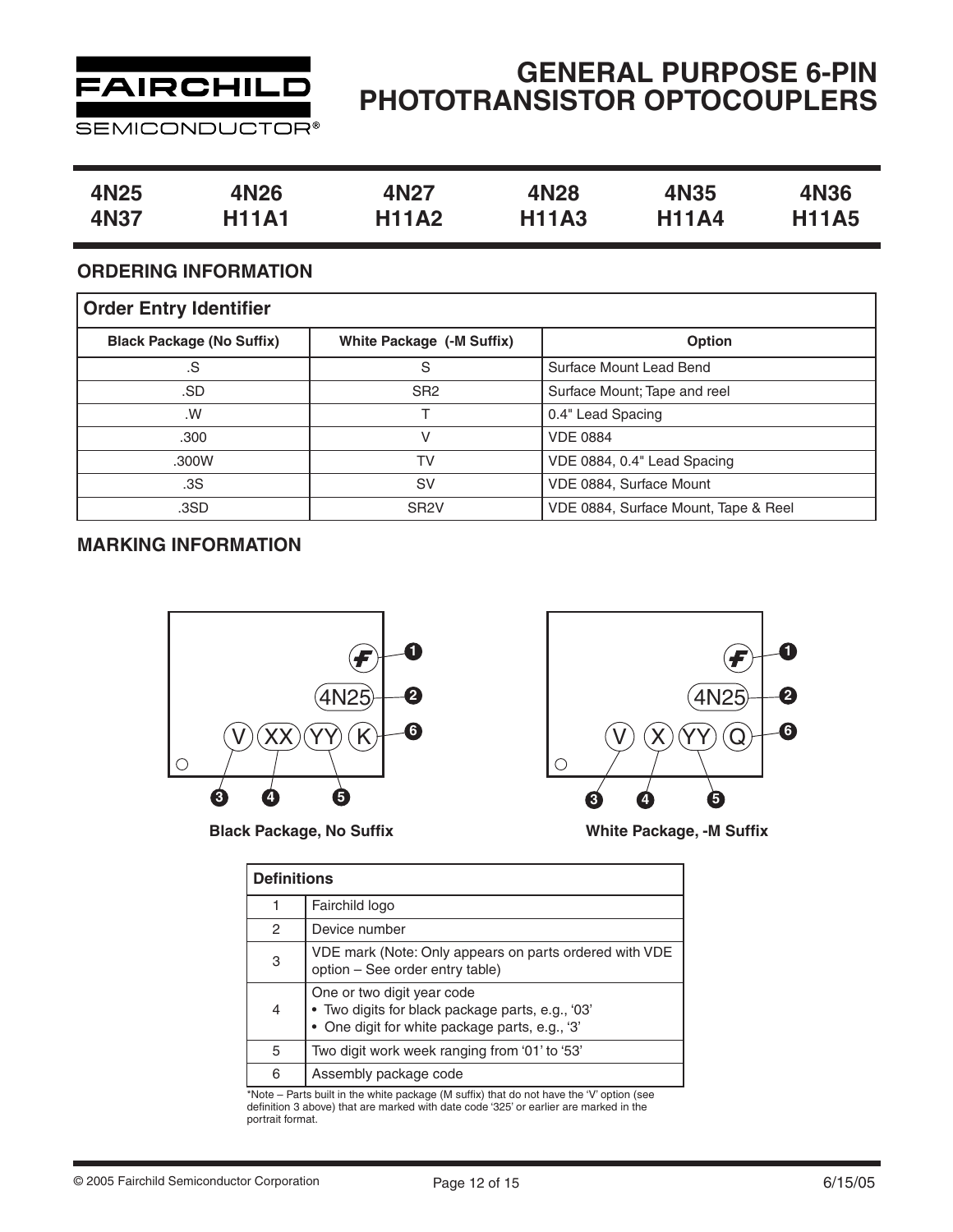

# **GENERAL PURPOSE 6-PIN PHOTOTRANSISTOR OPTOCOUPLERS**

| 4N <sub>25</sub> | 4N26         | 4N27         | 4N28         | 4N35         | <b>4N36</b>  |
|------------------|--------------|--------------|--------------|--------------|--------------|
| 4N37             | <b>H11A1</b> | <b>H11A2</b> | <b>H11A3</b> | <b>H11A4</b> | <b>H11A5</b> |

### **ORDERING INFORMATION**

| <b>Order Entry Identifier</b>    |                           |                                      |  |  |  |  |
|----------------------------------|---------------------------|--------------------------------------|--|--|--|--|
| <b>Black Package (No Suffix)</b> | White Package (-M Suffix) | <b>Option</b>                        |  |  |  |  |
| .S                               | S                         | Surface Mount Lead Bend              |  |  |  |  |
| .SD                              | SR <sub>2</sub>           | Surface Mount; Tape and reel         |  |  |  |  |
| .W                               |                           | 0.4" Lead Spacing                    |  |  |  |  |
| .300                             | V                         | <b>VDE 0884</b>                      |  |  |  |  |
| .300W                            | TV                        | VDE 0884, 0.4" Lead Spacing          |  |  |  |  |
| .3S                              | <b>SV</b>                 | VDE 0884, Surface Mount              |  |  |  |  |
| .3SD                             | SR <sub>2</sub> V         | VDE 0884, Surface Mount, Tape & Reel |  |  |  |  |

### **MARKING INFORMATION**



**Black Package, No Suffix**



**White Package, -M Suffix**

|   | <b>Definitions</b>                                                                                                               |  |  |  |  |
|---|----------------------------------------------------------------------------------------------------------------------------------|--|--|--|--|
|   | Fairchild logo                                                                                                                   |  |  |  |  |
| 2 | Device number                                                                                                                    |  |  |  |  |
| 3 | VDE mark (Note: Only appears on parts ordered with VDE<br>option - See order entry table)                                        |  |  |  |  |
| 4 | One or two digit year code<br>· Two digits for black package parts, e.g., '03'<br>• One digit for white package parts, e.g., '3' |  |  |  |  |
| 5 | Two digit work week ranging from '01' to '53'                                                                                    |  |  |  |  |
| 6 | Assembly package code                                                                                                            |  |  |  |  |

\*Note – Parts built in the white package (M suffix) that do not have the 'V' option (see definition 3 above) that are marked with date code '325' or earlier are marked in the portrait format.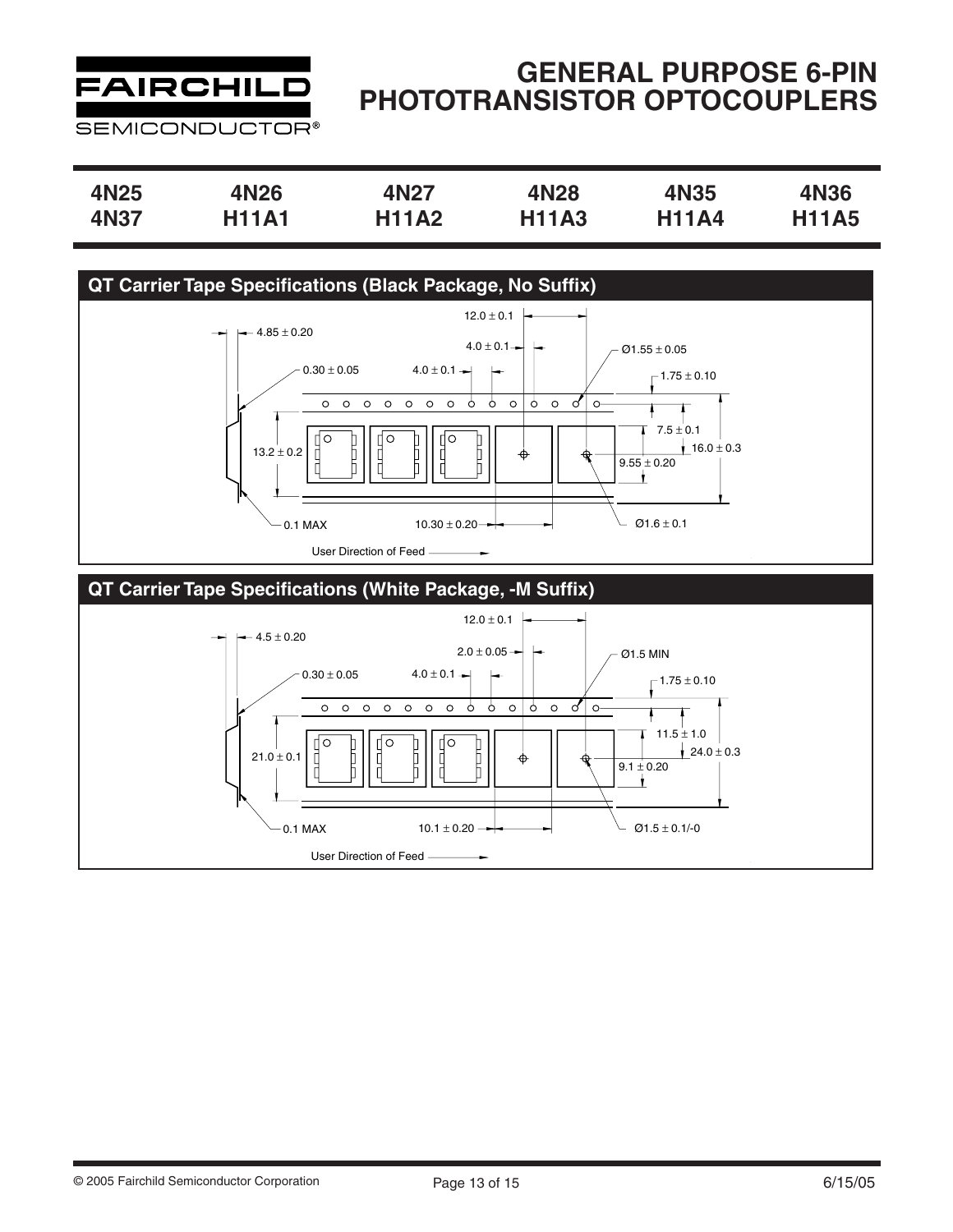

| 4N25 | 4N26         | 4N27         | 4N28         | 4N35         | 4N36         |
|------|--------------|--------------|--------------|--------------|--------------|
| 4N37 | <b>H11A1</b> | <b>H11A2</b> | <b>H11A3</b> | <b>H11A4</b> | <b>H11A5</b> |

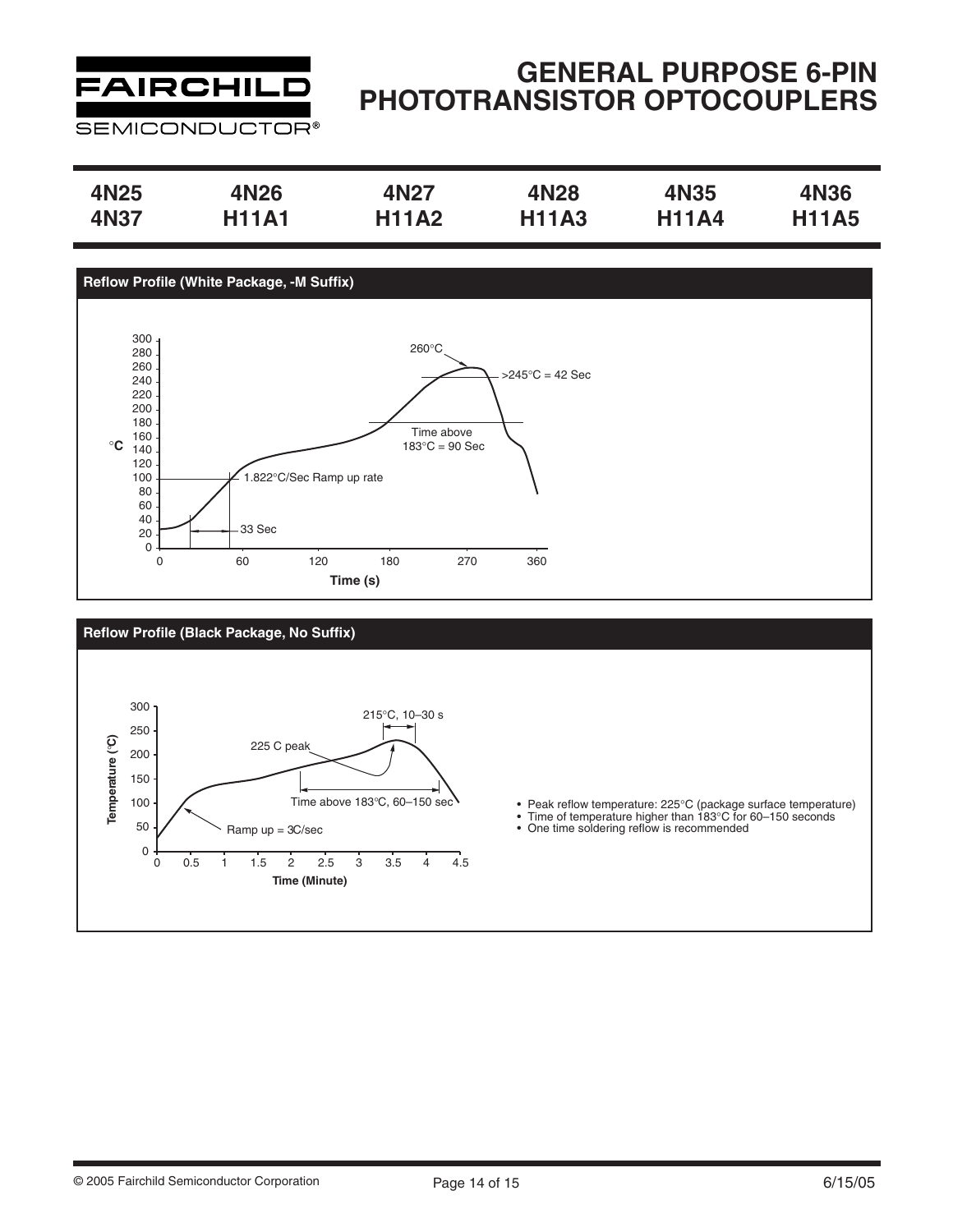

| 4N25 | 4N26         | 4N27         | 4N28         | 4N35         | <b>4N36</b>  |
|------|--------------|--------------|--------------|--------------|--------------|
| 4N37 | <b>H11A1</b> | <b>H11A2</b> | <b>H11A3</b> | <b>H11A4</b> | <b>H11A5</b> |